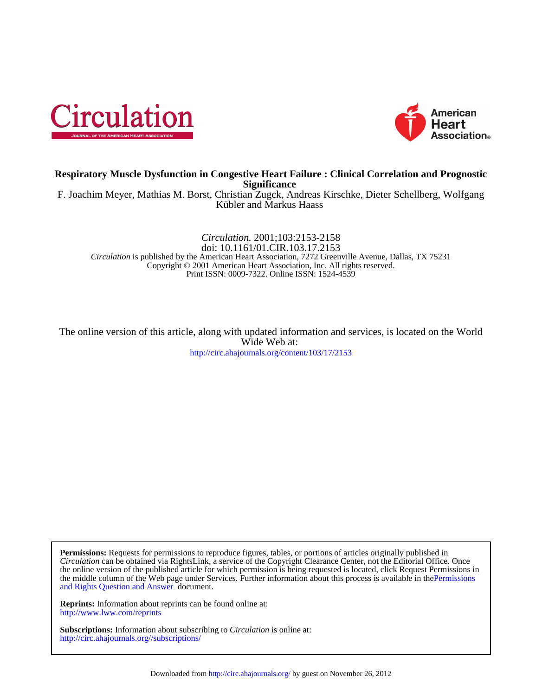



# **Significance Respiratory Muscle Dysfunction in Congestive Heart Failure : Clinical Correlation and Prognostic**

Kübler and Markus Haass F. Joachim Meyer, Mathias M. Borst, Christian Zugck, Andreas Kirschke, Dieter Schellberg, Wolfgang

Print ISSN: 0009-7322. Online ISSN: 1524-4539 Copyright © 2001 American Heart Association, Inc. All rights reserved. *Circulation* is published by the American Heart Association, 7272 Greenville Avenue, Dallas, TX 75231 doi: 10.1161/01.CIR.103.17.2153 *Circulation.* 2001;103:2153-2158

<http://circ.ahajournals.org/content/103/17/2153> Wide Web at: The online version of this article, along with updated information and services, is located on the World

[and Rights Question and Answer d](http://www.ahajournals.org/site/rights/)ocument. the middle column of the Web page under Services. Further information about this process is available in thePermissions the online version of the published article for which permission is being requested is located, click Request Permissions in *Circulation* can be obtained via RightsLink, a service of the Copyright Clearance Center, not the Editorial Office. Once **Permissions:** Requests for permissions to reproduce figures, tables, or portions of articles originally published in

<http://www.lww.com/reprints> **Reprints:** Information about reprints can be found online at:

<http://circ.ahajournals.org//subscriptions/> **Subscriptions:** Information about subscribing to *Circulation* is online at: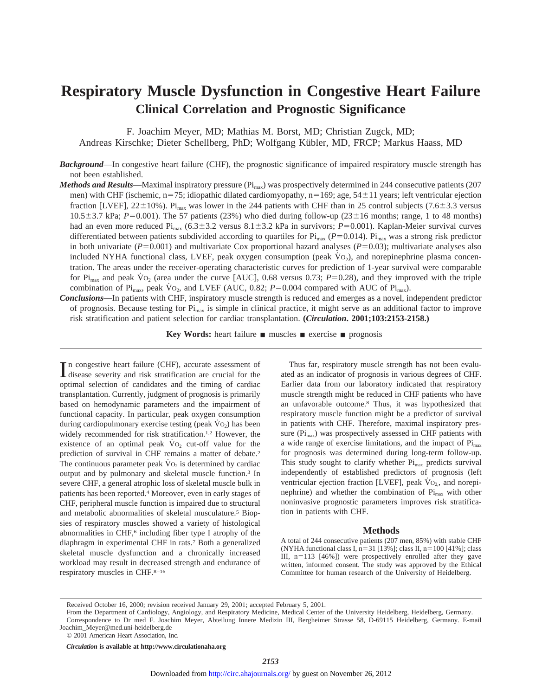# **Respiratory Muscle Dysfunction in Congestive Heart Failure Clinical Correlation and Prognostic Significance**

F. Joachim Meyer, MD; Mathias M. Borst, MD; Christian Zugck, MD; Andreas Kirschke; Dieter Schellberg, PhD; Wolfgang Kübler, MD, FRCP; Markus Haass, MD

*Background*—In congestive heart failure (CHF), the prognostic significance of impaired respiratory muscle strength has not been established.

- *Methods and Results*—Maximal inspiratory pressure (Pi<sub>max</sub>) was prospectively determined in 244 consecutive patients (207 men) with CHF (ischemic,  $n=75$ ; idiopathic dilated cardiomyopathy,  $n=169$ ; age,  $54\pm11$  years; left ventricular ejection fraction [LVEF],  $22\pm10\%$ ). Pi<sub>max</sub> was lower in the 244 patients with CHF than in 25 control subjects (7.6 $\pm$ 3.3 versus  $10.5\pm3.7$  kPa;  $P=0.001$ ). The 57 patients (23%) who died during follow-up (23 $\pm16$  months; range, 1 to 48 months) had an even more reduced Pi<sub>max</sub> (6.3±3.2 versus 8.1±3.2 kPa in survivors; *P*=0.001). Kaplan-Meier survival curves differentiated between patients subdivided according to quartiles for  $\rm{Pi}_{max}$  ( $P=0.014$ ).  $\rm{Pi}_{max}$  was a strong risk predictor in both univariate ( $P=0.001$ ) and multivariate Cox proportional hazard analyses ( $P=0.03$ ); multivariate analyses also included NYHA functional class, LVEF, peak oxygen consumption (peak  $\dot{V}$ O<sub>2</sub>), and norepinephrine plasma concentration. The areas under the receiver-operating characteristic curves for prediction of 1-year survival were comparable for Pi<sub>max</sub> and peak  $\rm\dot{V}o_2$  (area under the curve [AUC], 0.68 versus 0.73;  $P=0.28$ ), and they improved with the triple combination of Pi<sub>max</sub>, peak  $\dot{V}$ O<sub>2</sub>, and LVEF (AUC, 0.82; *P*=0.004 compared with AUC of Pi<sub>max</sub>).
- *Conclusions*—In patients with CHF, inspiratory muscle strength is reduced and emerges as a novel, independent predictor of prognosis. Because testing for  $\rm{Pi}_{max}$  is simple in clinical practice, it might serve as an additional factor to improve risk stratification and patient selection for cardiac transplantation. **(***Circulation***. 2001;103:2153-2158.)**

**Key Words:** heart failure **n** muscles **n** exercise **n** prognosis

In congestive heart failure (CHF), accurate assessment of disease severity and risk stratification are crucial for the disease severity and risk stratification are crucial for the optimal selection of candidates and the timing of cardiac transplantation. Currently, judgment of prognosis is primarily based on hemodynamic parameters and the impairment of functional capacity. In particular, peak oxygen consumption during cardiopulmonary exercise testing (peak  $\dot{V}$ O<sub>2</sub>) has been widely recommended for risk stratification.<sup>1,2</sup> However, the existence of an optimal peak  $\dot{V}$ O<sub>2</sub> cut-off value for the prediction of survival in CHF remains a matter of debate.2 The continuous parameter peak  $\dot{V}$ O<sub>2</sub> is determined by cardiac output and by pulmonary and skeletal muscle function.3 In severe CHF, a general atrophic loss of skeletal muscle bulk in patients has been reported.4 Moreover, even in early stages of CHF, peripheral muscle function is impaired due to structural and metabolic abnormalities of skeletal musculature.<sup>5</sup> Biopsies of respiratory muscles showed a variety of histological abnormalities in CHF,<sup>6</sup> including fiber type I atrophy of the diaphragm in experimental CHF in rats.7 Both a generalized skeletal muscle dysfunction and a chronically increased workload may result in decreased strength and endurance of respiratory muscles in CHF.8–16

Thus far, respiratory muscle strength has not been evaluated as an indicator of prognosis in various degrees of CHF. Earlier data from our laboratory indicated that respiratory muscle strength might be reduced in CHF patients who have an unfavorable outcome.8 Thus, it was hypothesized that respiratory muscle function might be a predictor of survival in patients with CHF. Therefore, maximal inspiratory pressure  $(\text{Pi}_{\text{max}})$  was prospectively assessed in CHF patients with a wide range of exercise limitations, and the impact of Pi<sub>max</sub> for prognosis was determined during long-term follow-up. This study sought to clarify whether  $Pi_{max}$  predicts survival independently of established predictors of prognosis (left ventricular ejection fraction [LVEF], peak  $\dot{V}$ O<sub>2</sub>, and norepinephrine) and whether the combination of  $Pi<sub>max</sub>$  with other noninvasive prognostic parameters improves risk stratification in patients with CHF.

#### **Methods**

A total of 244 consecutive patients (207 men, 85%) with stable CHF (NYHA functional class I,  $n=31$  [13%]; class II,  $n=100$  [41%]; class III,  $n=113$  [46%]) were prospectively enrolled after they gave written, informed consent. The study was approved by the Ethical Committee for human research of the University of Heidelberg.

© 2001 American Heart Association, Inc.

*Circulation* **is available at http://www.circulationaha.org**

Received October 16, 2000; revision received January 29, 2001; accepted February 5, 2001.

From the Department of Cardiology, Angiology, and Respiratory Medicine, Medical Center of the University Heidelberg, Heidelberg, Germany. Correspondence to Dr med F. Joachim Meyer, Abteilung Innere Medizin III, Bergheimer Strasse 58, D-69115 Heidelberg, Germany. E-mail Joachim\_Meyer@med.uni-heidelberg.de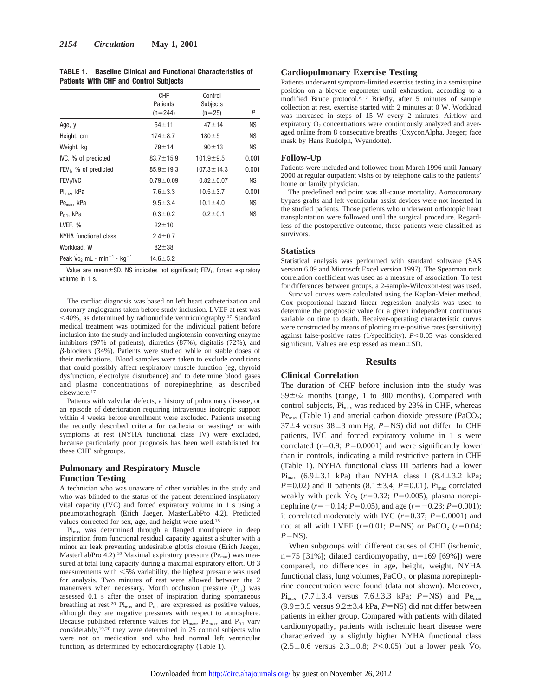|                                               |  | <b>TABLE 1. Baseline Clinical and Functional Characteristics of</b> |  |
|-----------------------------------------------|--|---------------------------------------------------------------------|--|
| <b>Patients With CHF and Control Subjects</b> |  |                                                                     |  |

|                                                                           | <b>CHF</b><br>Patients<br>$(n=244)$ | Control<br>Subjects<br>$(n=25)$ | P         |
|---------------------------------------------------------------------------|-------------------------------------|---------------------------------|-----------|
| Age, y                                                                    | $54 + 11$                           | $47 + 14$                       | ΝS        |
| Height, cm                                                                | $174 + 8.7$                         | $180 + 5$                       | <b>NS</b> |
| Weight, kg                                                                | $79 + 14$                           | $90 + 13$                       | <b>NS</b> |
| IVC, % of predicted                                                       | $83.7 \pm 15.9$                     | $101.9 + 9.5$                   | 0.001     |
| FEV <sub>1</sub> , % of predicted                                         | $85.9 \pm 19.3$                     | $107.3 \pm 14.3$                | 0.001     |
| FEV <sub>1</sub> /IVC                                                     | $0.79 \pm 0.09$                     | $0.82 \pm 0.07$                 | <b>NS</b> |
| $Pi_{\text{max}}$ , kPa                                                   | $7.6 + 3.3$                         | $10.5 + 3.7$                    | 0.001     |
| $Pemax$ , kPa                                                             | $9.5 \pm 3.4$                       | $10.1 \pm 4.0$                  | <b>NS</b> |
| $P_{0.1}$ , kPa                                                           | $0.3 + 0.2$                         | $0.2 + 0.1$                     | <b>NS</b> |
| LVEF, %                                                                   | $22 + 10$                           |                                 |           |
| NYHA functional class                                                     | $2.4 \pm 0.7$                       |                                 |           |
| Workload, W                                                               | $82 + 38$                           |                                 |           |
| Peak $\sqrt{v_0}$ , mL $\cdot$ min <sup>-1</sup> $\cdot$ kg <sup>-1</sup> | $14.6 \pm 5.2$                      |                                 |           |

Value are mean $\pm$ SD. NS indicates not significant; FEV<sub>1</sub>, forced expiratory volume in 1 s.

The cardiac diagnosis was based on left heart catheterization and coronary angiograms taken before study inclusion. LVEF at rest was  $\leq$ 40%, as determined by radionuclide ventriculography.<sup>17</sup> Standard medical treatment was optimized for the individual patient before inclusion into the study and included angiotensin-converting enzyme inhibitors (97% of patients), diuretics (87%), digitalis (72%), and  $\beta$ -blockers (34%). Patients were studied while on stable doses of their medications. Blood samples were taken to exclude conditions that could possibly affect respiratory muscle function (eg, thyroid dysfunction, electrolyte disturbance) and to determine blood gases and plasma concentrations of norepinephrine, as described elsewhere.17

Patients with valvular defects, a history of pulmonary disease, or an episode of deterioration requiring intravenous inotropic support within 4 weeks before enrollment were excluded. Patients meeting the recently described criteria for cachexia or wasting<sup>4</sup> or with symptoms at rest (NYHA functional class IV) were excluded, because particularly poor prognosis has been well established for these CHF subgroups.

# **Pulmonary and Respiratory Muscle Function Testing**

A technician who was unaware of other variables in the study and who was blinded to the status of the patient determined inspiratory vital capacity (IVC) and forced expiratory volume in 1 s using a pneumotachograph (Erich Jaeger, MasterLabPro 4.2). Predicted values corrected for sex, age, and height were used.18

Pi<sub>max</sub> was determined through a flanged mouthpiece in deep inspiration from functional residual capacity against a shutter with a minor air leak preventing undesirable glottis closure (Erich Jaeger, MasterLabPro 4.2).<sup>19</sup> Maximal expiratory pressure ( $Pe_{\text{max}}$ ) was measured at total lung capacity during a maximal expiratory effort. Of 3 measurements with  $\leq 5\%$  variability, the highest pressure was used for analysis. Two minutes of rest were allowed between the 2 maneuvers when necessary. Mouth occlusion pressure  $(P_{0,1})$  was assessed 0.1 s after the onset of inspiration during spontaneous breathing at rest.<sup>20</sup> Pi<sub>max</sub> and P<sub>0.1</sub> are expressed as positive values, although they are negative pressures with respect to atmosphere. Because published reference values for  $Pi_{\text{max}}$ ,  $Pe_{\text{max}}$ , and  $P_{0.1}$  vary considerably,19,20 they were determined in 25 control subjects who were not on medication and who had normal left ventricular function, as determined by echocardiography (Table 1).

#### **Cardiopulmonary Exercise Testing**

Patients underwent symptom-limited exercise testing in a semisupine position on a bicycle ergometer until exhaustion, according to a modified Bruce protocol.8,17 Briefly, after 5 minutes of sample collection at rest, exercise started with 2 minutes at 0 W. Workload was increased in steps of 15 W every 2 minutes. Airflow and expiratory  $O_2$  concentrations were continuously analyzed and averaged online from 8 consecutive breaths (OxyconAlpha, Jaeger; face mask by Hans Rudolph, Wyandotte).

### **Follow-Up**

Patients were included and followed from March 1996 until January 2000 at regular outpatient visits or by telephone calls to the patients' home or family physician.

The predefined end point was all-cause mortality. Aortocoronary bypass grafts and left ventricular assist devices were not inserted in the studied patients. Those patients who underwent orthotopic heart transplantation were followed until the surgical procedure. Regardless of the postoperative outcome, these patients were classified as survivors.

#### **Statistics**

Statistical analysis was performed with standard software (SAS version 6.09 and Microsoft Excel version 1997). The Spearman rank correlation coefficient was used as a measure of association. To test for differences between groups, a 2-sample-Wilcoxon-test was used.

Survival curves were calculated using the Kaplan-Meier method. Cox proportional hazard linear regression analysis was used to determine the prognostic value for a given independent continuous variable on time to death. Receiver-operating characteristic curves were constructed by means of plotting true-positive rates (sensitivity) against false-positive rates (1/specificity).  $P < 0.05$  was considered significant. Values are expressed as mean $\pm$ SD.

# **Results**

### **Clinical Correlation**

The duration of CHF before inclusion into the study was  $59±62$  months (range, 1 to 300 months). Compared with control subjects,  $Pi_{max}$  was reduced by 23% in CHF, whereas  $Pe_{\text{max}}$  (Table 1) and arterial carbon dioxide pressure (PaCO<sub>2</sub>;  $37±4$  versus  $38±3$  mm Hg;  $P=NS$ ) did not differ. In CHF patients, IVC and forced expiratory volume in 1 s were correlated  $(r=0.9; P=0.0001)$  and were significantly lower than in controls, indicating a mild restrictive pattern in CHF (Table 1). NYHA functional class III patients had a lower  $Pi_{max}$  (6.9±3.1 kPa) than NYHA class I (8.4±3.2 kPa;  $P=0.02$ ) and II patients (8.1±3.4; *P*=0.01). Pi<sub>max</sub> correlated weakly with peak  $\dot{V}o_2$  ( $r=0.32$ ;  $P=0.005$ ), plasma norepinephrine ( $r=-0.14$ ;  $P=0.05$ ), and age ( $r=-0.23$ ;  $P=0.001$ ); it correlated moderately with IVC  $(r=0.37; P=0.0001)$  and not at all with LVEF  $(r=0.01; P=NS)$  or PaCO<sub>2</sub>  $(r=0.04;$  $P=NS$ ).

When subgroups with different causes of CHF (ischemic, n=75 [31%]; dilated cardiomyopathy, n=169 [69%]) were compared, no differences in age, height, weight, NYHA functional class, lung volumes,  $PaCO<sub>2</sub>$ , or plasma norepinephrine concentration were found (data not shown). Moreover,  $Pi_{\text{max}}$  (7.7±3.4 versus 7.6±3.3 kPa; *P*=NS) and Pe<sub>max</sub>  $(9.9\pm3.5 \text{ versus } 9.2\pm3.4 \text{ kPa}, P=NS)$  did not differ between patients in either group. Compared with patients with dilated cardiomyopathy, patients with ischemic heart disease were characterized by a slightly higher NYHA functional class  $(2.5\pm0.6 \text{ versus } 2.3\pm0.8; P<0.05)$  but a lower peak  $\dot{V}$ <sub>O2</sub>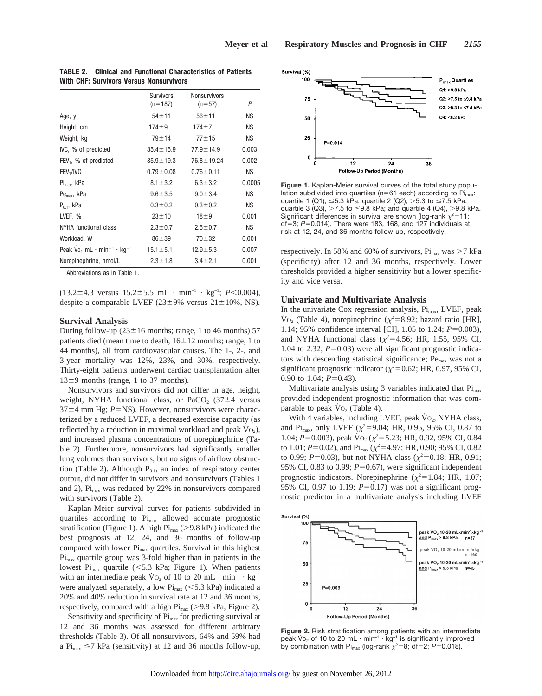|                                                                         | <b>Survivors</b><br>$(n=187)$ | <b>Nonsurvivors</b><br>$(n=57)$ | P         |
|-------------------------------------------------------------------------|-------------------------------|---------------------------------|-----------|
| Age, y                                                                  | $54 + 11$                     | $56 + 11$                       | <b>NS</b> |
| Height, cm                                                              | $174 + 9$                     | $174 + 7$                       | <b>NS</b> |
| Weight, kg                                                              | $79 + 14$                     | $77 + 15$                       | <b>NS</b> |
| IVC, % of predicted                                                     | $85.4 \pm 15.9$               | $77.9 \pm 14.9$                 | 0.003     |
| $FEV1$ , % of predicted                                                 | $85.9 \pm 19.3$               | $76.8 \pm 19.24$                | 0.002     |
| FEV <sub>1</sub> /IVC                                                   | $0.79 \pm 0.08$               | $0.76 \pm 0.11$                 | <b>NS</b> |
| $Pi_{\text{max}}$ , kPa                                                 | $8.1 \pm 3.2$                 | $6.3 \pm 3.2$                   | 0.0005    |
| $Pemax$ , kPa                                                           | $9.6 + 3.5$                   | $9.0 \pm 3.4$                   | <b>NS</b> |
| $P_{01}$ , kPa                                                          | $0.3 + 0.2$                   | $0.3 + 0.2$                     | <b>NS</b> |
| LVEF, %                                                                 | $23 + 10$                     | $18 + 9$                        | 0.001     |
| NYHA functional class                                                   | $2.3 \pm 0.7$                 | $2.5 \pm 0.7$                   | NS.       |
| Workload, W                                                             | $86 + 39$                     | $70 + 32$                       | 0.001     |
| Peak $\sqrt{v_2}$ mL $\cdot$ min <sup>-1</sup> $\cdot$ kg <sup>-1</sup> | $15.1 \pm 5.1$                | $12.9 + 5.3$                    | 0.007     |
| Norepinephrine, nmol/L                                                  | $2.3 \pm 1.8$                 | $3.4 \pm 2.1$                   | 0.001     |

**TABLE 2. Clinical and Functional Characteristics of Patients With CHF: Survivors Versus Nonsurvivors**

Abbreviations as in Table 1.

 $(13.2 \pm 4.3 \text{ versus } 15.2 \pm 5.5 \text{ mL} \cdot \text{min}^{-1} \cdot \text{kg}^{-1}; P < 0.004)$ , despite a comparable LVEF ( $23\pm9\%$  versus  $21\pm10\%$ , NS).

#### **Survival Analysis**

During follow-up ( $23\pm16$  months; range, 1 to 46 months) 57 patients died (mean time to death,  $16\pm12$  months; range, 1 to 44 months), all from cardiovascular causes. The 1-, 2-, and 3-year mortality was 12%, 23%, and 30%, respectively. Thirty-eight patients underwent cardiac transplantation after  $13±9$  months (range, 1 to 37 months).

Nonsurvivors and survivors did not differ in age, height, weight, NYHA functional class, or PaCO<sub>2</sub> (37 $\pm$ 4 versus  $37\pm4$  mm Hg;  $P=NS$ ). However, nonsurvivors were characterized by a reduced LVEF, a decreased exercise capacity (as reflected by a reduction in maximal workload and peak  $\dot{V}_{\text{O}_2}$ ), and increased plasma concentrations of norepinephrine (Table 2). Furthermore, nonsurvivors had significantly smaller lung volumes than survivors, but no signs of airflow obstruction (Table 2). Although  $P_{0.1}$ , an index of respiratory center output, did not differ in survivors and nonsurvivors (Tables 1 and 2),  $Pi<sub>max</sub>$  was reduced by 22% in nonsurvivors compared with survivors (Table 2).

Kaplan-Meier survival curves for patients subdivided in quartiles according to  $Pi_{max}$  allowed accurate prognostic stratification (Figure 1). A high  $\text{Pi}_{\text{max}}$  (>9.8 kPa) indicated the best prognosis at 12, 24, and 36 months of follow-up compared with lower  $Pi_{\text{max}}$  quartiles. Survival in this highest  $Pi<sub>max</sub>$  quartile group was 3-fold higher than in patients in the lowest Pi<sub>max</sub> quartile (<5.3 kPa; Figure 1). When patients with an intermediate peak  $\rm \dot{V}o_{2}$  of 10 to 20 mL  $\cdot$  min<sup>-1</sup>  $\cdot$  kg<sup>-1</sup> were analyzed separately, a low  $\text{Pi}_{\text{max}}$  (<5.3 kPa) indicated a 20% and 40% reduction in survival rate at 12 and 36 months, respectively, compared with a high  $Pi_{max}$  ( $> 9.8$  kPa; Figure 2).

Sensitivity and specificity of  $Pi_{\text{max}}$  for predicting survival at 12 and 36 months was assessed for different arbitrary thresholds (Table 3). Of all nonsurvivors, 64% and 59% had a  $\text{Pi}_{\text{max}} \leq 7$  kPa (sensitivity) at 12 and 36 months follow-up,



**Figure 1.** Kaplan-Meier survival curves of the total study population subdivided into quartiles ( $n=61$  each) according to  $Pi_{max}$ : quartile 1 (Q1),  $\leq$ 5.3 kPa; quartile 2 (Q2),  $>$ 5.3 to  $\leq$ 7.5 kPa; quartile 3 (Q3),  $>7.5$  to  $\leq$ 9.8 kPa; and quartile 4 (Q4),  $>$ 9.8 kPa. Significant differences in survival are shown (log-rank  $\chi^2$ =11; df=3; *P*=0.014). There were 183, 168, and 127 individuals at risk at 12, 24, and 36 months follow-up, respectively.

respectively. In 58% and 60% of survivors,  $Pi_{max}$  was  $>7$  kPa (specificity) after 12 and 36 months, respectively. Lower thresholds provided a higher sensitivity but a lower specificity and vice versa.

# **Univariate and Multivariate Analysis**

In the univariate Cox regression analysis, Pi<sub>max</sub>, LVEF, peak  $\text{Vo}_2$  (Table 4), norepinephrine ( $\chi^2 = 8.92$ ; hazard ratio [HR], 1.14; 95% confidence interval [CI], 1.05 to 1.24;  $P=0.003$ ), and NYHA functional class ( $\chi^2$ =4.56; HR, 1.55, 95% CI, 1.04 to 2.32;  $P=0.03$ ) were all significant prognostic indicators with descending statistical significance; Pe<sub>max</sub> was not a significant prognostic indicator ( $\chi^2$ =0.62; HR, 0.97, 95% CI, 0.90 to 1.04;  $P=0.43$ ).

Multivariate analysis using 3 variables indicated that  $Pi_{max}$ provided independent prognostic information that was comparable to peak  $\dot{V}$  O<sub>2</sub> (Table 4).

With 4 variables, including LVEF, peak  $\dot{V}$ O<sub>2</sub>, NYHA class, and Pi<sub>max</sub>, only LVEF ( $\chi^2$ =9.04; HR, 0.95, 95% CI, 0.87 to 1.04;  $P=0.003$ ), peak  $\overline{V}O_2$  ( $\chi^2=5.23$ ; HR, 0.92, 95% CI, 0.84 to 1.01;  $P=0.02$ ), and Pi<sub>max</sub> ( $\chi^2=4.97$ ; HR, 0.90; 95% CI, 0.82 to 0.99;  $P=0.03$ ), but not NYHA class ( $\chi^2=0.18$ ; HR, 0.91; 95% CI, 0.83 to 0.99;  $P=0.67$ ), were significant independent prognostic indicators. Norepinephrine ( $\chi^2$ =1.84; HR, 1.07; 95% CI, 0.97 to 1.19;  $P=0.17$ ) was not a significant prognostic predictor in a multivariate analysis including LVEF



**Figure 2.** Risk stratification among patients with an intermediate peak V<sub>O<sub>2</sub> of 10 to 20 mL  $\cdot$  min<sup>-1</sup>  $\cdot$  kg<sup>-1</sup> is significantly improved</sub> by combination with Pi<sub>max</sub> (log-rank  $\chi^2$ =8; df=2; P=0.018).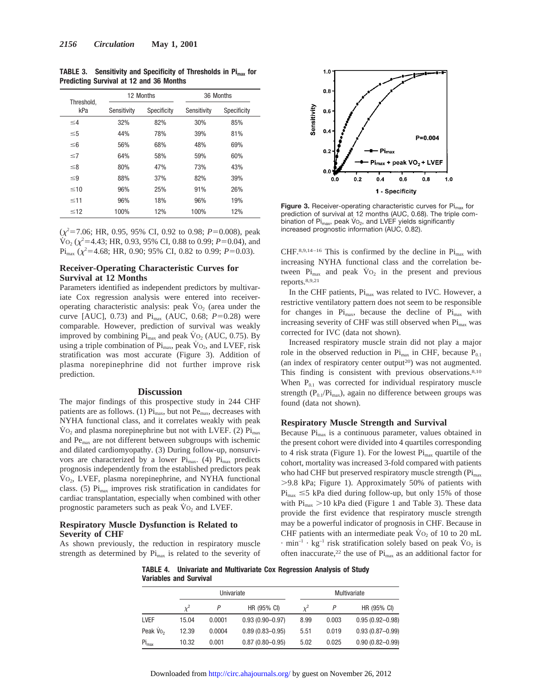| Threshold. | 12 Months   |             | 36 Months |             |  |
|------------|-------------|-------------|-----------|-------------|--|
| kPa        | Sensitivity | Specificity |           | Specificity |  |
| $\leq 4$   | 32%         | 82%         | 30%       | 85%         |  |
| $\leq 5$   | 44%         | 78%         | 39%       | 81%         |  |
| $\leq 6$   | 56%         | 68%         | 48%       | 69%         |  |
| $\leq 7$   | 64%         | 58%         | 59%       | 60%         |  |
| ≤8         | 80%         | 47%         | 73%       | 43%         |  |
| $\leq$ 9   | 88%         | 37%         | 82%       | 39%         |  |
| $\leq 10$  | 96%         | 25%         | 91%       | 26%         |  |
| $\leq 11$  | 96%         | 18%         | 96%       | 19%         |  |
| $\leq 12$  | 100%        | 12%         | 100%      | 12%         |  |

**TABLE 3. Sensitivity and Specificity of Thresholds in Pimax for Predicting Survival at 12 and 36 Months**

 $(\chi^2 = 7.06; \text{ HR}, 0.95, 95\% \text{ CI}, 0.92 \text{ to } 0.98; P = 0.008)$ , peak  $\overline{V}_{O_2}$  ( $\chi^2$ =4.43; HR, 0.93, 95% CI, 0.88 to 0.99; *P*=0.04), and  $\text{Pi}_{\text{max}}$  ( $\chi^2$ =4.68; HR, 0.90; 95% CI, 0.82 to 0.99; *P*=0.03).

# **Receiver-Operating Characteristic Curves for Survival at 12 Months**

Parameters identified as independent predictors by multivariate Cox regression analysis were entered into receiveroperating characteristic analysis: peak  $Vo<sub>2</sub>$  (area under the curve [AUC], 0.73) and  $Pi_{max}$  (AUC, 0.68;  $P=0.28$ ) were comparable. However, prediction of survival was weakly improved by combining  $Pi_{max}$  and peak  $Vo_2$  (AUC, 0.75). By using a triple combination of  $Pi_{max}$ , peak  $\dot{V}_{O_2}$ , and LVEF, risk stratification was most accurate (Figure 3). Addition of plasma norepinephrine did not further improve risk prediction.

#### **Discussion**

The major findings of this prospective study in 244 CHF patients are as follows. (1)  $Pi_{\text{max}}$ , but not  $Pe_{\text{max}}$ , decreases with NYHA functional class, and it correlates weakly with peak  $\rm\dot{V}o_{2}$  and plasma norepinephrine but not with LVEF. (2)  $\rm\dot{Pi}_{max}$ and Pe<sub>max</sub> are not different between subgroups with ischemic and dilated cardiomyopathy. (3) During follow-up, nonsurvivors are characterized by a lower  $Pi_{max}$ . (4)  $Pi_{max}$  predicts prognosis independently from the established predictors peak  $\rm V_{O_2}$ , LVEF, plasma norepinephrine, and NYHA functional class. (5)  $Pi<sub>max</sub>$  improves risk stratification in candidates for cardiac transplantation, especially when combined with other prognostic parameters such as peak  $\dot{V}$ O<sub>2</sub> and LVEF.

### **Respiratory Muscle Dysfunction is Related to Severity of CHF**

As shown previously, the reduction in respiratory muscle strength as determined by  $Pi_{\text{max}}$  is related to the severity of



**Figure 3.** Receiver-operating characteristic curves for Pi<sub>max</sub> for prediction of survival at 12 months (AUC, 0.68). The triple combination of  $Pi_{\text{max}}$ , peak V $O<sub>2</sub>$ , and LVEF yields significantly increased prognostic information (AUC, 0.82).

CHF.8,9,14-16 This is confirmed by the decline in  $Pi_{max}$  with increasing NYHA functional class and the correlation between  $Pi_{\text{max}}$  and peak  $Vo_2$  in the present and previous reports.8,9,21

In the CHF patients,  $Pi_{\text{max}}$  was related to IVC. However, a restrictive ventilatory pattern does not seem to be responsible for changes in  $Pi_{max}$ , because the decline of  $Pi_{max}$  with increasing severity of CHF was still observed when  $Pi_{max}$  was corrected for IVC (data not shown).

Increased respiratory muscle strain did not play a major role in the observed reduction in  $Pi_{max}$  in CHF, because  $P_{0.1}$ (an index of respiratory center output<sup>20</sup>) was not augmented. This finding is consistent with previous observations.<sup>8,10</sup> When  $P_{0.1}$  was corrected for individual respiratory muscle strength ( $P_{0.1}/Pi_{max}$ ), again no difference between groups was found (data not shown).

# **Respiratory Muscle Strength and Survival**

Because  $Pi_{\text{max}}$  is a continuous parameter, values obtained in the present cohort were divided into 4 quartiles corresponding to 4 risk strata (Figure 1). For the lowest  $Pi_{max}$  quartile of the cohort, mortality was increased 3-fold compared with patients who had CHF but preserved respiratory muscle strength  $(\text{Pi}_{\text{max}})$ .9.8 kPa; Figure 1). Approximately 50% of patients with  $Pi_{\text{max}} \leq 5$  kPa died during follow-up, but only 15% of those with  $\text{Pi}_{\text{max}} > 10$  kPa died (Figure 1 and Table 3). These data provide the first evidence that respiratory muscle strength may be a powerful indicator of prognosis in CHF. Because in CHF patients with an intermediate peak  $\rm\dot{V}o_{2}$  of 10 to 20 mL  $\cdot$  min<sup>-1</sup> · kg<sup>-1</sup> risk stratification solely based on peak  $\dot{V}$  O<sub>2</sub> is often inaccurate,<sup>22</sup> the use of Pi<sub>max</sub> as an additional factor for

**TABLE 4. Univariate and Multivariate Cox Regression Analysis of Study Variables and Survival**

|             |       | Univariate |                     |          | Multivariate |                     |  |
|-------------|-------|------------|---------------------|----------|--------------|---------------------|--|
|             |       |            | HR (95% CI)         | $\chi^2$ |              | HR (95% CI)         |  |
| <b>LVEF</b> | 15.04 | 0.0001     | $0.93(0.90 - 0.97)$ | 8.99     | 0.003        | $0.95(0.92 - 0.98)$ |  |
| Peak $V_0$  | 12.39 | 0.0004     | $0.89(0.83 - 0.95)$ | 5.51     | 0.019        | $0.93(0.87 - 0.99)$ |  |
| $Pi_{max}$  | 10.32 | 0.001      | $0.87(0.80 - 0.95)$ | 5.02     | 0.025        | $0.90(0.82 - 0.99)$ |  |

Downloaded from http://circ.ahajournals.org/ by guest on November 26, 2012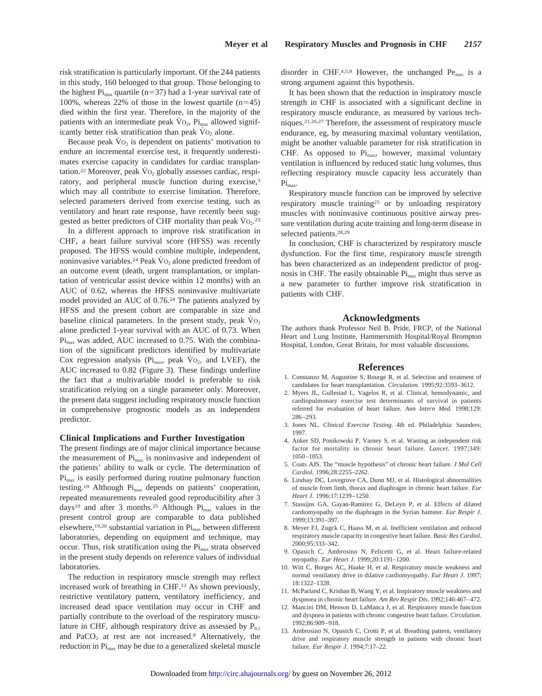risk stratification is particularly important. Of the 244 patients in this study, 160 belonged to that group. Those belonging to the highest  $Pi<sub>max</sub>$  quartile (n=37) had a 1-year survival rate of 100%, whereas 22% of those in the lowest quartile  $(n=45)$ died within the first year. Therefore, in the majority of the patients with an intermediate peak  $\dot{V}_{\text{O}_2}$ ,  $\dot{P}_{\text{max}}$  allowed significantly better risk stratification than peak  $\overline{V}$ <sub>0</sub>, alone.

Because peak  $\dot{V}$ O<sub>2</sub> is dependent on patients' motivation to endure an incremental exercise test, it frequently underestimates exercise capacity in candidates for cardiac transplantation.<sup>22</sup> Moreover, peak V<sub>O2</sub> globally assesses cardiac, respiratory, and peripheral muscle function during exercise,<sup>3</sup> which may all contribute to exercise limitation. Therefore, selected parameters derived from exercise testing, such as ventilatory and heart rate response, have recently been suggested as better predictors of CHF mortality than peak  $\dot{V}$ O<sub>2</sub>.<sup>23</sup>

In a different approach to improve risk stratification in CHF, a heart failure survival score (HFSS) was recently proposed. The HFSS would combine multiple, independent, noninvasive variables.<sup>24</sup> Peak  $\dot{V}_{O_2}$  alone predicted freedom of an outcome event (death, urgent transplantation, or implantation of ventricular assist device within 12 months) with an AUC of 0.62, whereas the HFSS noninvasive multivariate model provided an AUC of 0.76.24 The patients analyzed by HFSS and the present cohort are comparable in size and baseline clinical parameters. In the present study, peak  $\dot{V}$ <sub>O2</sub> alone predicted 1-year survival with an AUC of 0.73. When  $Pi<sub>max</sub>$  was added, AUC increased to 0.75. With the combination of the significant predictors identified by multivariate Cox regression analysis ( $Pi_{\text{max}}$ , peak  $\dot{V}$ O<sub>2</sub>, and LVEF), the AUC increased to 0.82 (Figure 3). These findings underline the fact that a multivariable model is preferable to risk stratification relying on a single parameter only. Moreover, the present data suggest including respiratory muscle function in comprehensive prognostic models as an independent predictor.

#### **Clinical Implications and Further Investigation**

The present findings are of major clinical importance because the measurement of  $Pi_{\text{max}}$  is noninvasive and independent of the patients' ability to walk or cycle. The determination of Pi<sub>max</sub> is easily performed during routine pulmonary function testing.<sup>19</sup> Although Pi<sub>max</sub> depends on patients' cooperation, repeated measurements revealed good reproducibility after 3 days<sup>19</sup> and after 3 months.<sup>25</sup> Although  $Pi_{max}$  values in the present control group are comparable to data published elsewhere,<sup>19,20</sup> substantial variation in  $Pi_{max}$  between different laboratories, depending on equipment and technique, may occur. Thus, risk stratification using the  $Pi_{max}$  strata observed in the present study depends on reference values of individual laboratories.

The reduction in respiratory muscle strength may reflect increased work of breathing in CHF.12 As shown previously, restrictive ventilatory pattern, ventilatory inefficiency, and increased dead space ventilation may occur in CHF and partially contribute to the overload of the respiratory musculature in CHF, although respiratory drive as assessed by  $P_{0.1}$ and  $PaCO<sub>2</sub>$  at rest are not increased.<sup>8</sup> Alternatively, the reduction in Pi<sub>max</sub> may be due to a generalized skeletal muscle

disorder in CHF.<sup>4,5,9</sup> However, the unchanged  $Pe<sub>max</sub>$  is a strong argument against this hypothesis.

It has been shown that the reduction in inspiratory muscle strength in CHF is associated with a significant decline in respiratory muscle endurance, as measured by various techniques.21,26,27 Therefore, the assessment of respiratory muscle endurance, eg, by measuring maximal voluntary ventilation, might be another valuable parameter for risk stratification in CHF. As opposed to  $Pi_{max}$ , however, maximal voluntary ventilation is influenced by reduced static lung volumes, thus reflecting respiratory muscle capacity less accurately than  $Pi_{\text{max}}$ .

Respiratory muscle function can be improved by selective respiratory muscle training25 or by unloading respiratory muscles with noninvasive continuous positive airway pressure ventilation during acute training and long-term disease in selected patients.28,29

In conclusion, CHF is characterized by respiratory muscle dysfunction. For the first time, respiratory muscle strength has been characterized as an independent predictor of prognosis in CHF. The easily obtainable  $\rm{Pi}_{max}$  might thus serve as a new parameter to further improve risk stratification in patients with CHF.

#### **Acknowledgments**

The authors thank Professor Neil B. Pride, FRCP, of the National Heart and Lung Institute, Hammersmith Hospital/Royal Brompton Hospital, London, Great Britain, for most valuable discussions.

#### **References**

- 1. Constanzo M, Augustine S, Bourge R, et al. Selection and treatment of candidates for heart transplantation. *Circulation*. 1995;92:3593–3612.
- 2. Myers JL, Gullestad L, Vagelos R, et al. Clinical, hemodynamic, and cardiopulmonary exercise test determinants of survival in patients referred for evaluation of heart failure. *Ann Intern Med*. 1998;129: 286–293.
- 3. Jones NL. *Clinical Exercise Testing*. 4th ed. Philadelphia: Saunders; 1997.
- 4. Anker SD, Ponikowski P, Varney S, et al. Wasting as independent risk factor for mortality in chronic heart failure. *Lancet*. 1997;349: 1050–1053.
- 5. Coats AJS. The "muscle hypothesis" of chronic heart failure. *J Mol Cell Cardiol*. 1996;28:2255–2262.
- 6. Lindsay DC, Lovegrove CA, Dunn MJ, et al. Histological abnormalities of muscle from limb, thorax and diaphragm in chronic heart failure. *Eur Heart J*. 1996;17:1239–1250.
- 7. Stassijns GA, Gayan-Ramirez G, DeLeyn P, et al. Effects of dilated cardiomyopathy on the diaphragm in the Syrian hamster. *Eur Respir J*. 1999;13:391–397.
- 8. Meyer FJ, Zugck C, Haass M, et al. Inefficient ventilation and reduced respiratory muscle capacity in congestive heart failure. *Basic Res Cardiol*. 2000;95:333–342.
- 9. Opasich C, Ambrosino N, Felicetti G, et al. Heart failure-related myopathy. *Eur Heart J*. 1999;20:1191–1200.
- 10. Witt C, Borges AC, Haake H, et al. Respiratory muscle weakness and normal ventilatory drive in dilative cardiomyopathy. *Eur Heart J*. 1997; 18:1322–1328.
- 11. McParland C, Krishan B, Wang Y, et al. Inspiratory muscle weakness and dyspnoea in chronic heart failure. *Am Rev Respir Dis*. 1992;146:467–472.
- 12. Mancini DM, Henson D, LaManca J, et al. Respiratory muscle function and dyspnea in patients with chronic congestive heart failure. *Circulation*. 1992;86:909–918.
- 13. Ambrosino N, Opasich C, Crotti P, et al. Breathing pattern, ventilatory drive and respiratory muscle strength in patients with chronic heart failure. *Eur Respir J*. 1994;7:17–22.